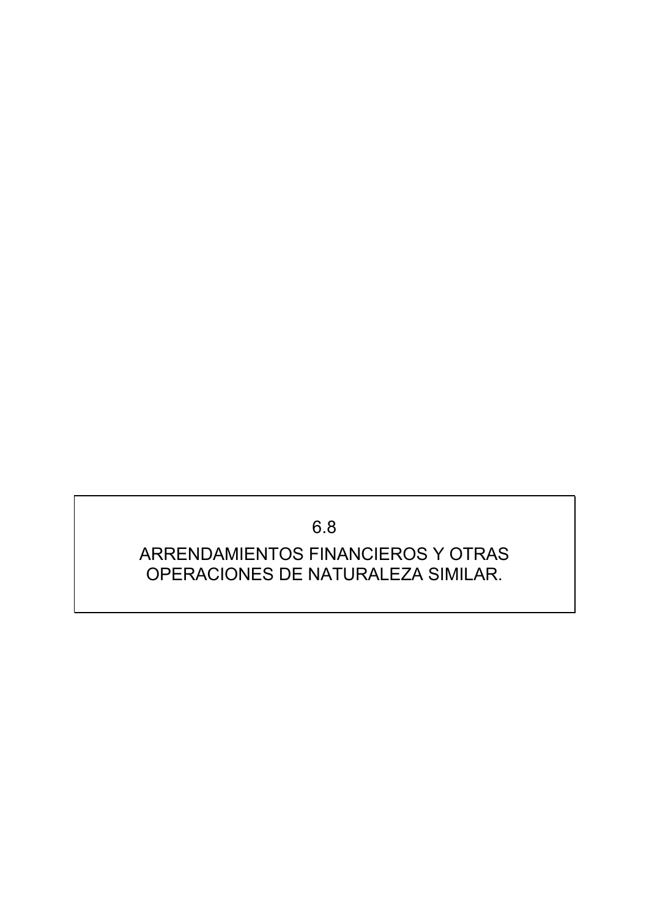6.8

### ARRENDAMIENTOS FINANCIEROS Y OTRAS OPERACIONES DE NATURALEZA SIMILAR.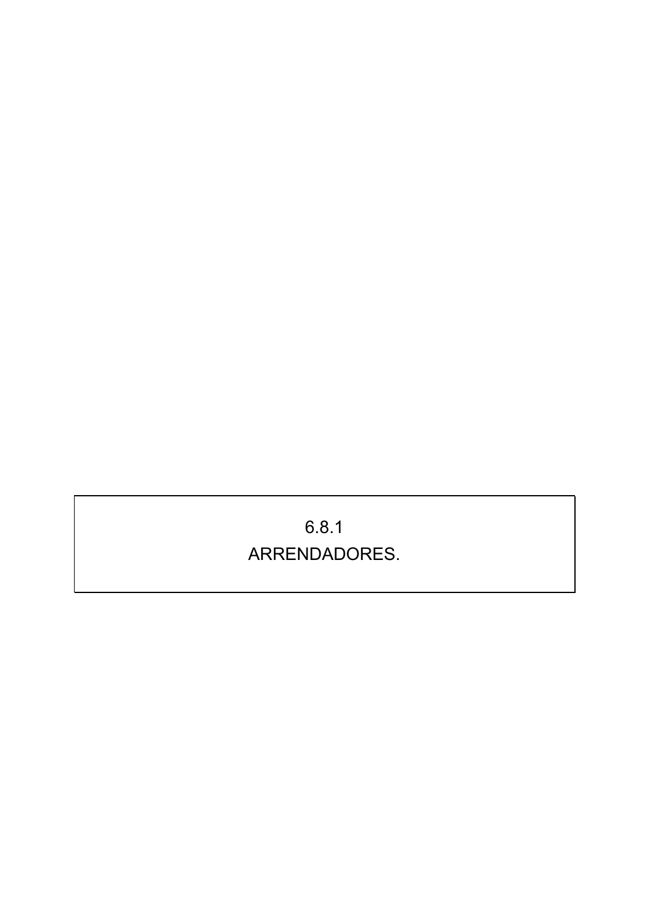# 6.8.1 ARRENDADORES.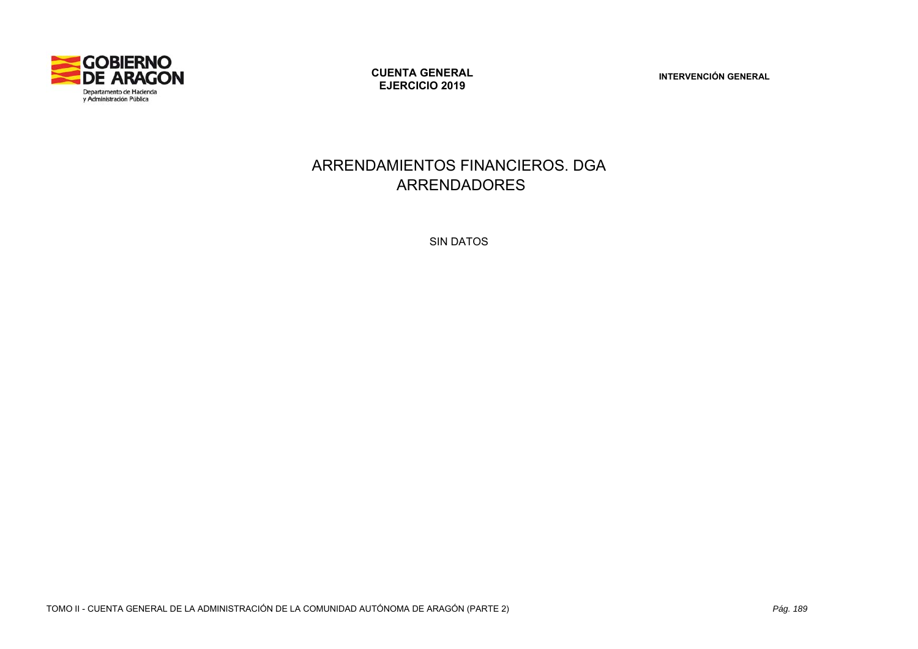

**CUENTA GENERAL EJERCICIO 2019** 

**INTERVENCIÓN GENERAL** 

#### ARRENDAMIENTOS FINANCIEROS. DGA ARRENDADORES

SIN DATOS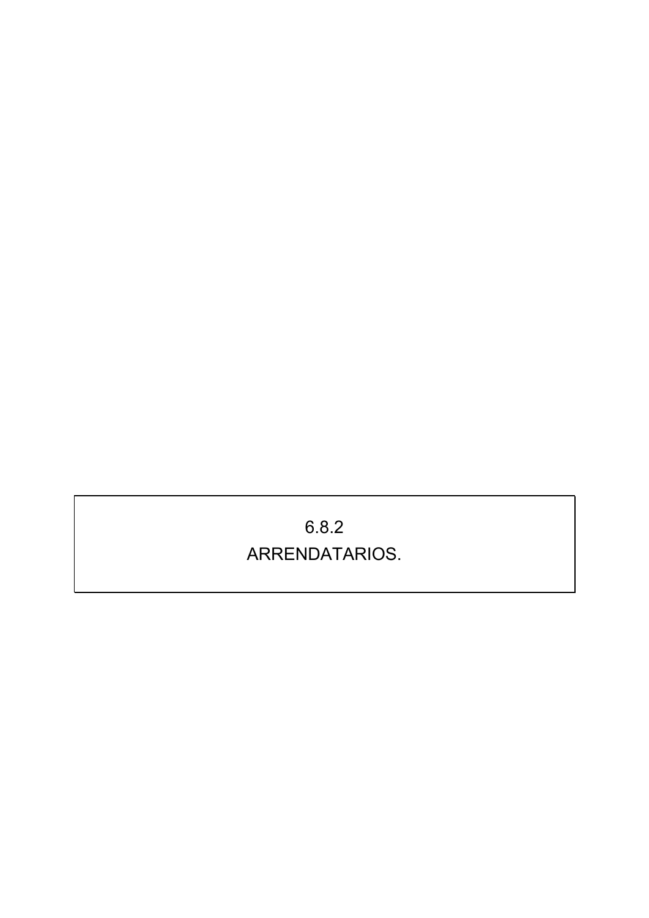## 6.8.2 ARRENDATARIOS.